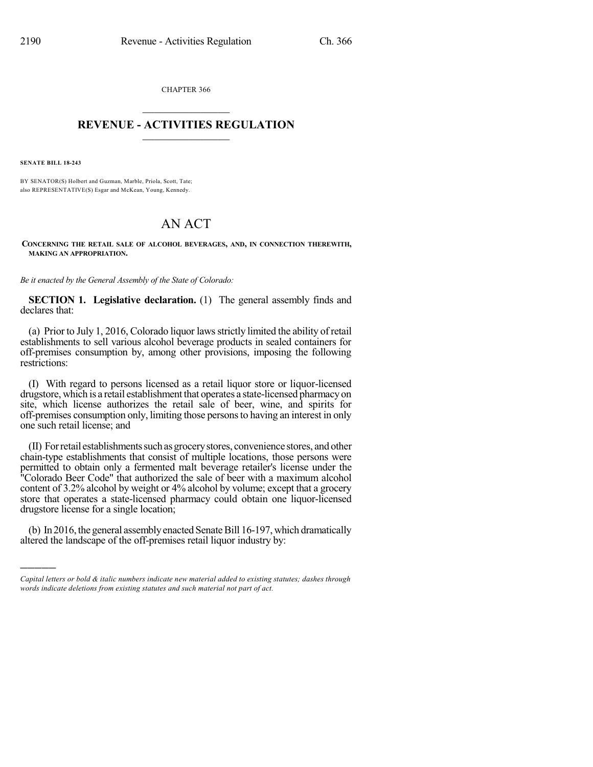CHAPTER 366  $\mathcal{L}_\text{max}$  . The set of the set of the set of the set of the set of the set of the set of the set of the set of the set of the set of the set of the set of the set of the set of the set of the set of the set of the set

## **REVENUE - ACTIVITIES REGULATION**  $\_$   $\_$   $\_$   $\_$   $\_$   $\_$   $\_$   $\_$

**SENATE BILL 18-243**

)))))

BY SENATOR(S) Holbert and Guzman, Marble, Priola, Scott, Tate; also REPRESENTATIVE(S) Esgar and McKean, Young, Kennedy.

# AN ACT

**CONCERNING THE RETAIL SALE OF ALCOHOL BEVERAGES, AND, IN CONNECTION THEREWITH, MAKING AN APPROPRIATION.**

*Be it enacted by the General Assembly of the State of Colorado:*

**SECTION 1. Legislative declaration.** (1) The general assembly finds and declares that:

(a) Prior to July 1, 2016, Colorado liquor lawsstrictly limited the ability of retail establishments to sell various alcohol beverage products in sealed containers for off-premises consumption by, among other provisions, imposing the following restrictions:

(I) With regard to persons licensed as a retail liquor store or liquor-licensed drugstore, which is a retail establishment that operates a state-licensed pharmacyon site, which license authorizes the retail sale of beer, wine, and spirits for off-premises consumption only, limiting those personsto having an interest in only one such retail license; and

(II) For retail establishments such as grocery stores, convenience stores, and other chain-type establishments that consist of multiple locations, those persons were permitted to obtain only a fermented malt beverage retailer's license under the "Colorado Beer Code" that authorized the sale of beer with a maximum alcohol content of 3.2% alcohol by weight or 4% alcohol by volume; except that a grocery store that operates a state-licensed pharmacy could obtain one liquor-licensed drugstore license for a single location;

(b) In 2016, the general assembly enacted Senate Bill 16-197, which dramatically altered the landscape of the off-premises retail liquor industry by:

*Capital letters or bold & italic numbers indicate new material added to existing statutes; dashes through words indicate deletions from existing statutes and such material not part of act.*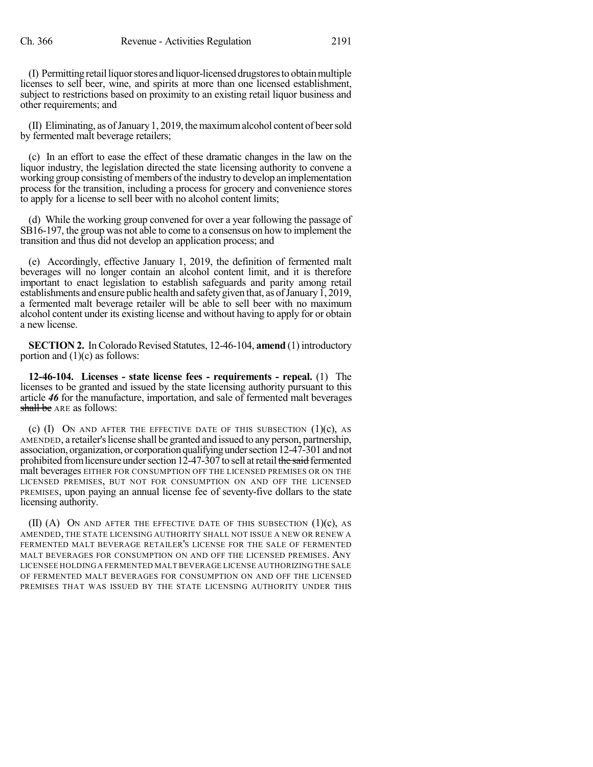(I) Permittingretailliquorstores andliquor-licenseddrugstoresto obtainmultiple licenses to sell beer, wine, and spirits at more than one licensed establishment, subject to restrictions based on proximity to an existing retail liquor business and other requirements; and

(II) Eliminating, as ofJanuary1, 2019, themaximumalcohol content of beersold by fermented malt beverage retailers;

(c) In an effort to ease the effect of these dramatic changes in the law on the liquor industry, the legislation directed the state licensing authority to convene a working group consisting of members of the industry to develop an implementation process for the transition, including a process for grocery and convenience stores to apply for a license to sell beer with no alcohol content limits;

(d) While the working group convened for over a year following the passage of SB16-197, the group was not able to come to a consensus on how to implement the transition and thus did not develop an application process; and

(e) Accordingly, effective January 1, 2019, the definition of fermented malt beverages will no longer contain an alcohol content limit, and it is therefore important to enact legislation to establish safeguards and parity among retail establishments and ensure public health and safety given that, as of January 1, 2019, a fermented malt beverage retailer will be able to sell beer with no maximum alcohol content under its existing license and without having to apply for or obtain a new license.

**SECTION 2.** In Colorado Revised Statutes, 12-46-104, **amend** (1) introductory portion and  $(1)(c)$  as follows:

**12-46-104. Licenses - state license fees - requirements - repeal.** (1) The licenses to be granted and issued by the state licensing authority pursuant to this article *46* for the manufacture, importation, and sale of fermented malt beverages shall be ARE as follows:

(c)  $(I)$  ON AND AFTER THE EFFECTIVE DATE OF THIS SUBSECTION  $(I)(c)$ , AS AMENDED, a retailer'slicense shall be granted and issued to any person, partnership, association, organization, or corporation qualifying under section 12-47-301 and not prohibited from licensure under section  $12-47-307$  to sell at retail the said fermented malt beverages EITHER FOR CONSUMPTION OFF THE LICENSED PREMISES OR ON THE LICENSED PREMISES, BUT NOT FOR CONSUMPTION ON AND OFF THE LICENSED PREMISES, upon paying an annual license fee of seventy-five dollars to the state licensing authority.

(II) (A) ON AND AFTER THE EFFECTIVE DATE OF THIS SUBSECTION  $(1)(c)$ , AS AMENDED, THE STATE LICENSING AUTHORITY SHALL NOT ISSUE A NEW OR RENEW A FERMENTED MALT BEVERAGE RETAILER'S LICENSE FOR THE SALE OF FERMENTED MALT BEVERAGES FOR CONSUMPTION ON AND OFF THE LICENSED PREMISES. ANY LICENSEE HOLDINGA FERMENTED MALT BEVERAGE LICENSE AUTHORIZING THE SALE OF FERMENTED MALT BEVERAGES FOR CONSUMPTION ON AND OFF THE LICENSED PREMISES THAT WAS ISSUED BY THE STATE LICENSING AUTHORITY UNDER THIS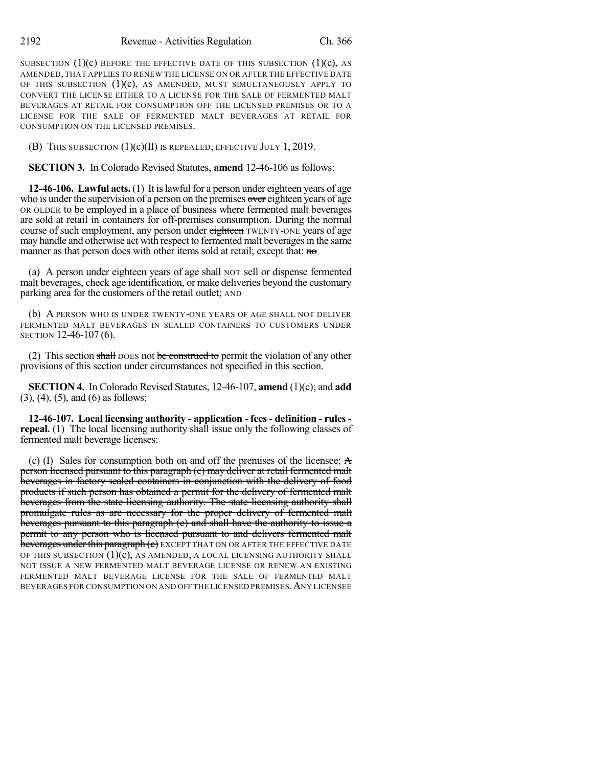SUBSECTION  $(1)(c)$  BEFORE THE EFFECTIVE DATE OF THIS SUBSECTION  $(1)(c)$ , AS AMENDED, THAT APPLIES TO RENEW THE LICENSE ON OR AFTER THE EFFECTIVE DATE OF THIS SUBSECTION  $(1)(c)$ , AS AMENDED, MUST SIMULTANEOUSLY APPLY TO CONVERT THE LICENSE EITHER TO A LICENSE FOR THE SALE OF FERMENTED MALT BEVERAGES AT RETAIL FOR CONSUMPTION OFF THE LICENSED PREMISES OR TO A LICENSE FOR THE SALE OF FERMENTED MALT BEVERAGES AT RETAIL FOR CONSUMPTION ON THE LICENSED PREMISES.

(B) THIS SUBSECTION  $(1)(c)(II)$  is repealed, effective July 1, 2019.

**SECTION 3.** In Colorado Revised Statutes, **amend** 12-46-106 as follows:

**12-46-106. Lawful acts.** (1) It islawfulfor a person under eighteen years of age who is under the supervision of a person on the premises over eighteen years of age OR OLDER to be employed in a place of business where fermented malt beverages are sold at retail in containers for off-premises consumption. During the normal course of such employment, any person under eighteen TWENTY-ONE years of age may handle and otherwise act with respect to fermented malt beverages in the same manner as that person does with other items sold at retail; except that: no

(a) A person under eighteen years of age shall NOT sell or dispense fermented malt beverages, check age identification, or make deliveries beyond the customary parking area for the customers of the retail outlet; AND

(b) A PERSON WHO IS UNDER TWENTY-ONE YEARS OF AGE SHALL NOT DELIVER FERMENTED MALT BEVERAGES IN SEALED CONTAINERS TO CUSTOMERS UNDER SECTION 12-46-107 (6).

(2) This section shall DOES not be construed to permit the violation of any other provisions of this section under circumstances not specified in this section.

**SECTION 4.** In Colorado Revised Statutes, 12-46-107, **amend** (1)(c); and **add** (3), (4), (5), and (6) as follows:

**12-46-107. Local licensing authority - application - fees - definition - rules repeal.** (1) The local licensing authority shall issue only the following classes of fermented malt beverage licenses:

(c) (I) Sales for consumption both on and off the premises of the licensee; A person licensed pursuant to this paragraph (c) may deliver at retail fermented malt beverages in factory-sealed containers in conjunction with the delivery of food products if such person has obtained a permit for the delivery of fermented malt beverages from the state licensing authority. The state licensing authority shall promulgate rules as are necessary for the proper delivery of fermented malt beverages pursuant to this paragraph (c) and shall have the authority to issue a permit to any person who is licensed pursuant to and delivers fermented malt beverages under this paragraph (c) EXCEPT THAT ON OR AFTER THE EFFECTIVE DATE OF THIS SUBSECTION  $(1)(c)$ , AS AMENDED, A LOCAL LICENSING AUTHORITY SHALL NOT ISSUE A NEW FERMENTED MALT BEVERAGE LICENSE OR RENEW AN EXISTING FERMENTED MALT BEVERAGE LICENSE FOR THE SALE OF FERMENTED MALT BEVERAGES FOR CONSUMPTION ON AND OFF THE LICENSED PREMISES.ANY LICENSEE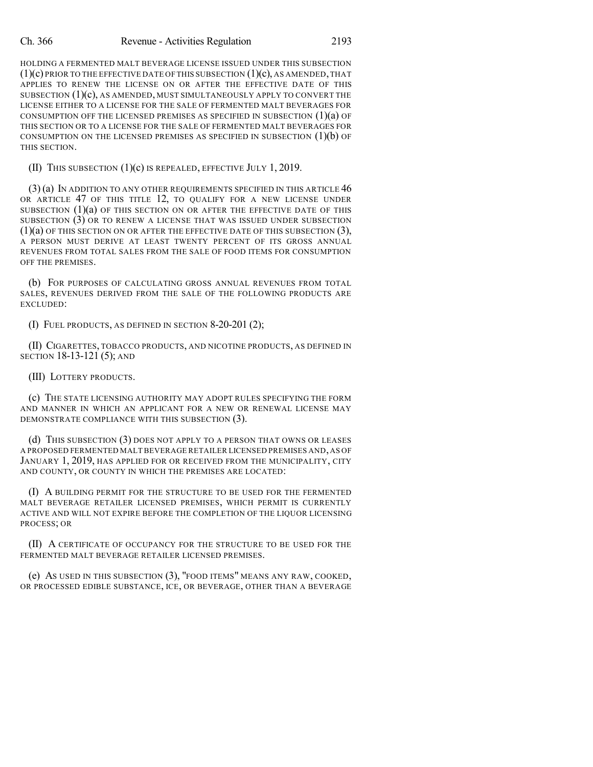#### Ch. 366 Revenue - Activities Regulation 2193

HOLDING A FERMENTED MALT BEVERAGE LICENSE ISSUED UNDER THIS SUBSECTION  $(1)(c)$  PRIOR TO THE EFFECTIVE DATE OF THIS SUBSECTION  $(1)(c)$ , AS AMENDED, THAT APPLIES TO RENEW THE LICENSE ON OR AFTER THE EFFECTIVE DATE OF THIS SUBSECTION  $(1)(c)$ , AS AMENDED, MUST SIMULTANEOUSLY APPLY TO CONVERT THE LICENSE EITHER TO A LICENSE FOR THE SALE OF FERMENTED MALT BEVERAGES FOR CONSUMPTION OFF THE LICENSED PREMISES AS SPECIFIED IN SUBSECTION  $(1)(a)$  OF THIS SECTION OR TO A LICENSE FOR THE SALE OF FERMENTED MALT BEVERAGES FOR CONSUMPTION ON THE LICENSED PREMISES AS SPECIFIED IN SUBSECTION  $(1)(b)$  OF THIS SECTION.

(II) THIS SUBSECTION (1)(c) IS REPEALED, EFFECTIVE JULY 1, 2019.

 $(3)$  (a) In addition to any other requirements specified in this article 46 OR ARTICLE 47 OF THIS TITLE 12, TO QUALIFY FOR A NEW LICENSE UNDER SUBSECTION  $(1)(a)$  of this section on or after the effective date of this SUBSECTION (3) OR TO RENEW A LICENSE THAT WAS ISSUED UNDER SUBSECTION (1)(a) OF THIS SECTION ON OR AFTER THE EFFECTIVE DATE OF THIS SUBSECTION (3), A PERSON MUST DERIVE AT LEAST TWENTY PERCENT OF ITS GROSS ANNUAL REVENUES FROM TOTAL SALES FROM THE SALE OF FOOD ITEMS FOR CONSUMPTION OFF THE PREMISES.

(b) FOR PURPOSES OF CALCULATING GROSS ANNUAL REVENUES FROM TOTAL SALES, REVENUES DERIVED FROM THE SALE OF THE FOLLOWING PRODUCTS ARE EXCLUDED:

(I) FUEL PRODUCTS, AS DEFINED IN SECTION 8-20-201 (2);

(II) CIGARETTES, TOBACCO PRODUCTS, AND NICOTINE PRODUCTS, AS DEFINED IN SECTION 18-13-121 (5); AND

(III) LOTTERY PRODUCTS.

(c) THE STATE LICENSING AUTHORITY MAY ADOPT RULES SPECIFYING THE FORM AND MANNER IN WHICH AN APPLICANT FOR A NEW OR RENEWAL LICENSE MAY DEMONSTRATE COMPLIANCE WITH THIS SUBSECTION (3).

(d) THIS SUBSECTION (3) DOES NOT APPLY TO A PERSON THAT OWNS OR LEASES A PROPOSED FERMENTED MALT BEVERAGE RETAILER LICENSED PREMISES AND,AS OF JANUARY 1, 2019, HAS APPLIED FOR OR RECEIVED FROM THE MUNICIPALITY, CITY AND COUNTY, OR COUNTY IN WHICH THE PREMISES ARE LOCATED:

(I) A BUILDING PERMIT FOR THE STRUCTURE TO BE USED FOR THE FERMENTED MALT BEVERAGE RETAILER LICENSED PREMISES, WHICH PERMIT IS CURRENTLY ACTIVE AND WILL NOT EXPIRE BEFORE THE COMPLETION OF THE LIQUOR LICENSING PROCESS; OR

(II) A CERTIFICATE OF OCCUPANCY FOR THE STRUCTURE TO BE USED FOR THE FERMENTED MALT BEVERAGE RETAILER LICENSED PREMISES.

(e) AS USED IN THIS SUBSECTION (3), "FOOD ITEMS" MEANS ANY RAW, COOKED, OR PROCESSED EDIBLE SUBSTANCE, ICE, OR BEVERAGE, OTHER THAN A BEVERAGE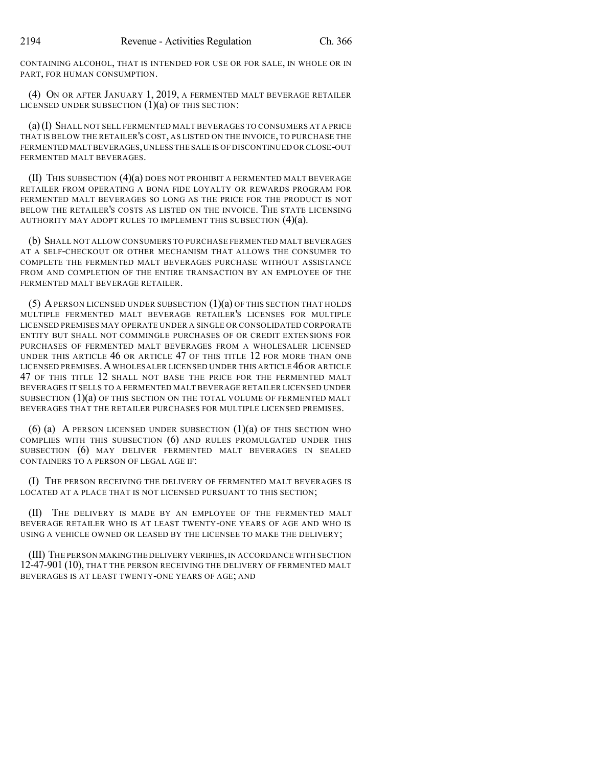CONTAINING ALCOHOL, THAT IS INTENDED FOR USE OR FOR SALE, IN WHOLE OR IN PART, FOR HUMAN CONSUMPTION.

(4) ON OR AFTER JANUARY 1, 2019, A FERMENTED MALT BEVERAGE RETAILER LICENSED UNDER SUBSECTION  $(1)(a)$  OF THIS SECTION:

(a)(I) SHALL NOT SELL FERMENTED MALT BEVERAGES TO CONSUMERS AT A PRICE THAT IS BELOW THE RETAILER'S COST, AS LISTED ON THE INVOICE, TO PURCHASE THE FERMENTED MALT BEVERAGES,UNLESS THE SALE IS OF DISCONTINUED OR CLOSE-OUT FERMENTED MALT BEVERAGES.

(II) THIS SUBSECTION (4)(a) DOES NOT PROHIBIT A FERMENTED MALT BEVERAGE RETAILER FROM OPERATING A BONA FIDE LOYALTY OR REWARDS PROGRAM FOR FERMENTED MALT BEVERAGES SO LONG AS THE PRICE FOR THE PRODUCT IS NOT BELOW THE RETAILER'S COSTS AS LISTED ON THE INVOICE. THE STATE LICENSING AUTHORITY MAY ADOPT RULES TO IMPLEMENT THIS SUBSECTION (4)(a).

(b) SHALL NOT ALLOW CONSUMERS TO PURCHASE FERMENTED MALT BEVERAGES AT A SELF-CHECKOUT OR OTHER MECHANISM THAT ALLOWS THE CONSUMER TO COMPLETE THE FERMENTED MALT BEVERAGES PURCHASE WITHOUT ASSISTANCE FROM AND COMPLETION OF THE ENTIRE TRANSACTION BY AN EMPLOYEE OF THE FERMENTED MALT BEVERAGE RETAILER.

(5) A PERSON LICENSED UNDER SUBSECTION  $(1)(a)$  OF THIS SECTION THAT HOLDS MULTIPLE FERMENTED MALT BEVERAGE RETAILER'S LICENSES FOR MULTIPLE LICENSED PREMISES MAY OPERATE UNDER A SINGLE OR CONSOLIDATED CORPORATE ENTITY BUT SHALL NOT COMMINGLE PURCHASES OF OR CREDIT EXTENSIONS FOR PURCHASES OF FERMENTED MALT BEVERAGES FROM A WHOLESALER LICENSED UNDER THIS ARTICLE 46 OR ARTICLE 47 OF THIS TITLE 12 FOR MORE THAN ONE LICENSED PREMISES. A WHOLESALER LICENSED UNDER THIS ARTICLE 46 OR ARTICLE 47 OF THIS TITLE 12 SHALL NOT BASE THE PRICE FOR THE FERMENTED MALT BEVERAGES IT SELLS TO A FERMENTED MALT BEVERAGE RETAILER LICENSED UNDER SUBSECTION (1)(a) OF THIS SECTION ON THE TOTAL VOLUME OF FERMENTED MALT BEVERAGES THAT THE RETAILER PURCHASES FOR MULTIPLE LICENSED PREMISES.

 $(6)$  (a) A PERSON LICENSED UNDER SUBSECTION  $(1)(a)$  OF THIS SECTION WHO COMPLIES WITH THIS SUBSECTION (6) AND RULES PROMULGATED UNDER THIS SUBSECTION (6) MAY DELIVER FERMENTED MALT BEVERAGES IN SEALED CONTAINERS TO A PERSON OF LEGAL AGE IF:

(I) THE PERSON RECEIVING THE DELIVERY OF FERMENTED MALT BEVERAGES IS LOCATED AT A PLACE THAT IS NOT LICENSED PURSUANT TO THIS SECTION;

(II) THE DELIVERY IS MADE BY AN EMPLOYEE OF THE FERMENTED MALT BEVERAGE RETAILER WHO IS AT LEAST TWENTY-ONE YEARS OF AGE AND WHO IS USING A VEHICLE OWNED OR LEASED BY THE LICENSEE TO MAKE THE DELIVERY;

(III) THE PERSON MAKINGTHE DELIVERY VERIFIES,IN ACCORDANCE WITH SECTION 12-47-901 (10), THAT THE PERSON RECEIVING THE DELIVERY OF FERMENTED MALT BEVERAGES IS AT LEAST TWENTY-ONE YEARS OF AGE; AND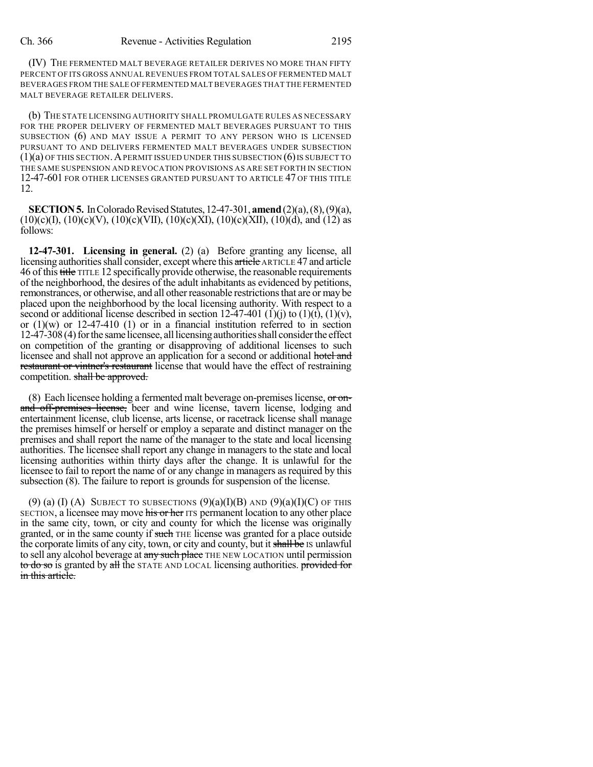(IV) THE FERMENTED MALT BEVERAGE RETAILER DERIVES NO MORE THAN FIFTY PERCENT OF ITS GROSS ANNUAL REVENUES FROM TOTAL SALES OF FERMENTED MALT BEVERAGES FROM THE SALE OFFERMENTED MALTBEVERAGES THAT THE FERMENTED MALT BEVERAGE RETAILER DELIVERS.

(b) THE STATE LICENSING AUTHORITY SHALL PROMULGATE RULES AS NECESSARY FOR THE PROPER DELIVERY OF FERMENTED MALT BEVERAGES PURSUANT TO THIS SUBSECTION (6) AND MAY ISSUE A PERMIT TO ANY PERSON WHO IS LICENSED PURSUANT TO AND DELIVERS FERMENTED MALT BEVERAGES UNDER SUBSECTION  $(1)(a)$  of this section. A permit issued under this subsection  $(6)$  is subject to THE SAME SUSPENSION AND REVOCATION PROVISIONS AS ARE SET FORTH IN SECTION 12-47-601 FOR OTHER LICENSES GRANTED PURSUANT TO ARTICLE 47 OF THIS TITLE 12.

**SECTION 5.** In Colorado Revised Statutes, 12-47-301, **amend** (2)(a), (8), (9)(a),  $(10)(c)(I), (10)(c)(V), (10)(c)(VII), (10)(c)(XI), (10)(c)(XII), (10)(d), and (12)$  as follows:

**12-47-301. Licensing in general.** (2) (a) Before granting any license, all licensing authorities shall consider, except where this article ARTICLE 47 and article 46 of this title TITLE 12 specifically provide otherwise, the reasonable requirements of the neighborhood, the desires of the adult inhabitants as evidenced by petitions, remonstrances, or otherwise, and all other reasonable restrictions that are or may be placed upon the neighborhood by the local licensing authority. With respect to a second or additional license described in section  $12-47-401$  (1)(j) to (1)(t), (1)(v), or  $(1)(w)$  or  $12-47-410$  (1) or in a financial institution referred to in section 12-47-308 (4) for the same licensee, all licensing authorities shall consider the effect on competition of the granting or disapproving of additional licenses to such licensee and shall not approve an application for a second or additional hotel and restaurant or vintner's restaurant license that would have the effect of restraining competition. shall be approved.

(8) Each licensee holding a fermented malt beverage on-premises license,  $\sigma$  onand off-premises license, beer and wine license, tavern license, lodging and entertainment license, club license, arts license, or racetrack license shall manage the premises himself or herself or employ a separate and distinct manager on the premises and shall report the name of the manager to the state and local licensing authorities. The licensee shall report any change in managers to the state and local licensing authorities within thirty days after the change. It is unlawful for the licensee to fail to report the name of or any change in managers as required by this subsection (8). The failure to report is grounds for suspension of the license.

(9) (a) (I) (A) SUBJECT TO SUBSECTIONS  $(9)(a)(I)(B)$  and  $(9)(a)(I)(C)$  of this SECTION, a licensee may move his or her ITS permanent location to any other place in the same city, town, or city and county for which the license was originally granted, or in the same county if such THE license was granted for a place outside the corporate limits of any city, town, or city and county, but it shall be IS unlawful to sell any alcohol beverage at any such place THE NEW LOCATION until permission to do so is granted by all the STATE AND LOCAL licensing authorities. provided for in this article.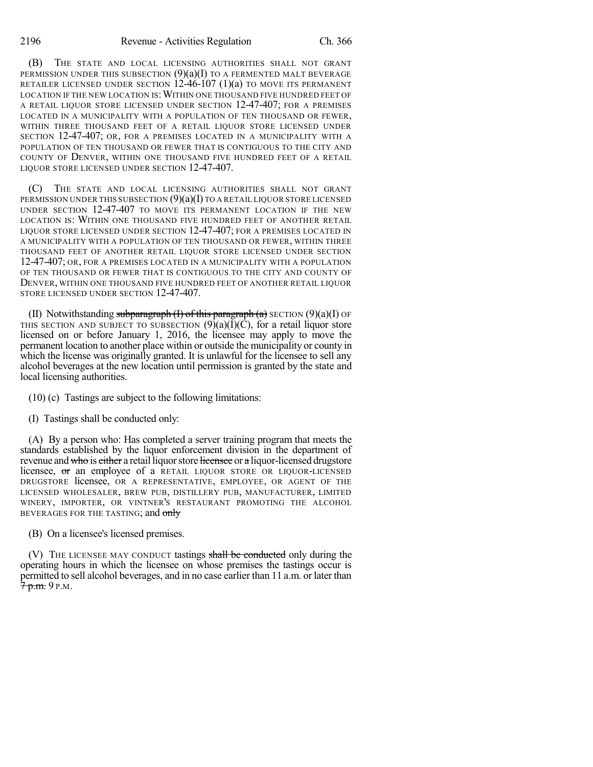(B) THE STATE AND LOCAL LICENSING AUTHORITIES SHALL NOT GRANT PERMISSION UNDER THIS SUBSECTION  $(9)(a)(I)$  to a fermented malt beverage RETAILER LICENSED UNDER SECTION  $12-46-107$  (1)(a) TO MOVE ITS PERMANENT LOCATION IF THE NEW LOCATION IS: WITHIN ONE THOUSAND FIVE HUNDRED FEET OF A RETAIL LIQUOR STORE LICENSED UNDER SECTION 12-47-407; FOR A PREMISES LOCATED IN A MUNICIPALITY WITH A POPULATION OF TEN THOUSAND OR FEWER, WITHIN THREE THOUSAND FEET OF A RETAIL LIQUOR STORE LICENSED UNDER SECTION 12-47-407; OR, FOR A PREMISES LOCATED IN A MUNICIPALITY WITH A POPULATION OF TEN THOUSAND OR FEWER THAT IS CONTIGUOUS TO THE CITY AND COUNTY OF DENVER, WITHIN ONE THOUSAND FIVE HUNDRED FEET OF A RETAIL LIQUOR STORE LICENSED UNDER SECTION 12-47-407.

(C) THE STATE AND LOCAL LICENSING AUTHORITIES SHALL NOT GRANT PERMISSION UNDER THIS SUBSECTION  $(9)(a)(I)$  TO A RETAIL LIQUOR STORE LICENSED UNDER SECTION 12-47-407 TO MOVE ITS PERMANENT LOCATION IF THE NEW LOCATION IS: WITHIN ONE THOUSAND FIVE HUNDRED FEET OF ANOTHER RETAIL LIQUOR STORE LICENSED UNDER SECTION 12-47-407; FOR A PREMISES LOCATED IN A MUNICIPALITY WITH A POPULATION OF TEN THOUSAND OR FEWER, WITHIN THREE THOUSAND FEET OF ANOTHER RETAIL LIQUOR STORE LICENSED UNDER SECTION 12-47-407; OR, FOR A PREMISES LOCATED IN A MUNICIPALITY WITH A POPULATION OF TEN THOUSAND OR FEWER THAT IS CONTIGUOUS TO THE CITY AND COUNTY OF DENVER, WITHIN ONE THOUSAND FIVE HUNDRED FEET OF ANOTHER RETAIL LIQUOR STORE LICENSED UNDER SECTION 12-47-407.

(II) Notwithstanding subparagraph  $(I)$  of this paragraph  $(a)$  SECTION  $(9)(a)(I)$  OF THIS SECTION AND SUBJECT TO SUBSECTION  $(9)(a)(I)(C)$ , for a retail liquor store licensed on or before January 1, 2016, the licensee may apply to move the permanent location to another place within or outside the municipality or county in which the license was originally granted. It is unlawful for the licensee to sell any alcohol beverages at the new location until permission is granted by the state and local licensing authorities.

(10) (c) Tastings are subject to the following limitations:

(I) Tastings shall be conducted only:

(A) By a person who: Has completed a server training program that meets the standards established by the liquor enforcement division in the department of revenue and who is either a retail liquor store licensee or a liquor-licensed drugstore licensee, or an employee of a RETAIL LIQUOR STORE OR LIQUOR-LICENSED DRUGSTORE licensee, OR A REPRESENTATIVE, EMPLOYEE, OR AGENT OF THE LICENSED WHOLESALER, BREW PUB, DISTILLERY PUB, MANUFACTURER, LIMITED WINERY, IMPORTER, OR VINTNER'S RESTAURANT PROMOTING THE ALCOHOL BEVERAGES FOR THE TASTING; and only

(B) On a licensee's licensed premises.

(V) THE LICENSEE MAY CONDUCT tastings shall be conducted only during the operating hours in which the licensee on whose premises the tastings occur is permitted to sell alcohol beverages, and in no case earlier than 11 a.m. or later than  $7$  p.m. 9 p.m.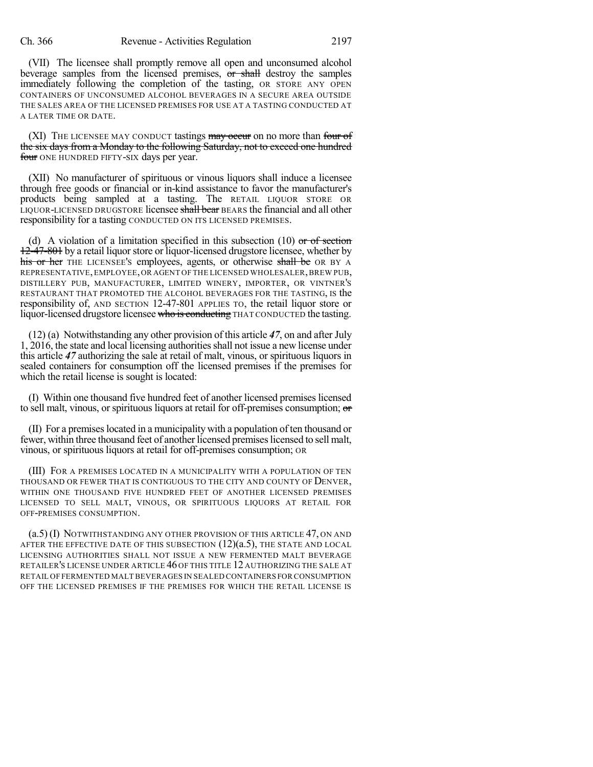(VII) The licensee shall promptly remove all open and unconsumed alcohol beverage samples from the licensed premises,  $\overline{or}$  shall destroy the samples immediately following the completion of the tasting, OR STORE ANY OPEN CONTAINERS OF UNCONSUMED ALCOHOL BEVERAGES IN A SECURE AREA OUTSIDE THE SALES AREA OF THE LICENSED PREMISES FOR USE AT A TASTING CONDUCTED AT A LATER TIME OR DATE.

(XI) THE LICENSEE MAY CONDUCT tastings  $\frac{may}{to}$  occur on no more than four of the six days from a Monday to the following Saturday, not to exceed one hundred four ONE HUNDRED FIFTY-SIX days per year.

(XII) No manufacturer of spirituous or vinous liquors shall induce a licensee through free goods or financial or in-kind assistance to favor the manufacturer's products being sampled at a tasting. The RETAIL LIQUOR STORE OR LIQUOR-LICENSED DRUGSTORE licensee shall bear BEARS the financial and all other responsibility for a tasting CONDUCTED ON ITS LICENSED PREMISES.

(d) A violation of a limitation specified in this subsection  $(10)$  or of section 12-47-801 by a retail liquor store or liquor-licensed drugstore licensee, whether by his or her THE LICENSEE's employees, agents, or otherwise shall be OR BY A REPRESENTATIVE, EMPLOYEE, OR AGENT OF THE LICENSED WHOLESALER, BREW PUB, DISTILLERY PUB, MANUFACTURER, LIMITED WINERY, IMPORTER, OR VINTNER'S RESTAURANT THAT PROMOTED THE ALCOHOL BEVERAGES FOR THE TASTING, IS the responsibility of, AND SECTION 12-47-801 APPLIES TO, the retail liquor store or liquor-licensed drugstore licensee who is conducting THAT CONDUCTED the tasting.

(12) (a) Notwithstanding any other provision of this article *47*, on and after July 1, 2016, the state and local licensing authorities shall not issue a new license under this article *47* authorizing the sale at retail of malt, vinous, or spirituous liquors in sealed containers for consumption off the licensed premises if the premises for which the retail license is sought is located:

(I) Within one thousand five hundred feet of another licensed premises licensed to sell malt, vinous, or spirituous liquors at retail for off-premises consumption; or

(II) For a premiseslocated in a municipality with a population often thousand or fewer, within three thousand feet of another licensed premiseslicensed to sell malt, vinous, or spirituous liquors at retail for off-premises consumption; OR

(III) FOR A PREMISES LOCATED IN A MUNICIPALITY WITH A POPULATION OF TEN THOUSAND OR FEWER THAT IS CONTIGUOUS TO THE CITY AND COUNTY OF DENVER, WITHIN ONE THOUSAND FIVE HUNDRED FEET OF ANOTHER LICENSED PREMISES LICENSED TO SELL MALT, VINOUS, OR SPIRITUOUS LIQUORS AT RETAIL FOR OFF-PREMISES CONSUMPTION.

(a.5) (I) NOTWITHSTANDING ANY OTHER PROVISION OF THIS ARTICLE 47, ON AND AFTER THE EFFECTIVE DATE OF THIS SUBSECTION  $(12)(a.5)$ , THE STATE AND LOCAL LICENSING AUTHORITIES SHALL NOT ISSUE A NEW FERMENTED MALT BEVERAGE RETAILER'S LICENSE UNDER ARTICLE 46 OF THIS TITLE 12 AUTHORIZING THE SALE AT RETAIL OF FERMENTED MALT BEVERAGES IN SEALED CONTAINERS FOR CONSUMPTION OFF THE LICENSED PREMISES IF THE PREMISES FOR WHICH THE RETAIL LICENSE IS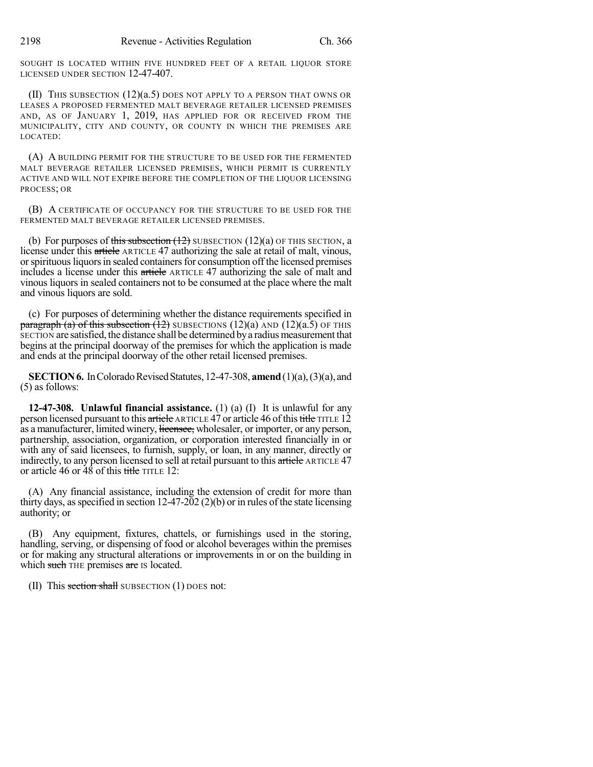SOUGHT IS LOCATED WITHIN FIVE HUNDRED FEET OF A RETAIL LIQUOR STORE LICENSED UNDER SECTION 12-47-407.

(II) THIS SUBSECTION (12)(a.5) DOES NOT APPLY TO A PERSON THAT OWNS OR LEASES A PROPOSED FERMENTED MALT BEVERAGE RETAILER LICENSED PREMISES AND, AS OF JANUARY 1, 2019, HAS APPLIED FOR OR RECEIVED FROM THE MUNICIPALITY, CITY AND COUNTY, OR COUNTY IN WHICH THE PREMISES ARE LOCATED:

(A) A BUILDING PERMIT FOR THE STRUCTURE TO BE USED FOR THE FERMENTED MALT BEVERAGE RETAILER LICENSED PREMISES, WHICH PERMIT IS CURRENTLY ACTIVE AND WILL NOT EXPIRE BEFORE THE COMPLETION OF THE LIQUOR LICENSING PROCESS; OR

(B) A CERTIFICATE OF OCCUPANCY FOR THE STRUCTURE TO BE USED FOR THE FERMENTED MALT BEVERAGE RETAILER LICENSED PREMISES.

(b) For purposes of this subsection  $(12)$  SUBSECTION  $(12)(a)$  OF THIS SECTION, a license under this article ARTICLE 47 authorizing the sale at retail of malt, vinous, or spirituous liquors in sealed containers for consumption off the licensed premises includes a license under this article ARTICLE 47 authorizing the sale of malt and vinous liquors in sealed containers not to be consumed at the place where the malt and vinous liquors are sold.

(c) For purposes of determining whether the distance requirements specified in paragraph (a) of this subsection  $(12)$  SUBSECTIONS  $(12)(a)$  AND  $(12)(a.5)$  OF THIS SECTION are satisfied, the distance shall be determined by a radius measurement that begins at the principal doorway of the premises for which the application is made and ends at the principal doorway of the other retail licensed premises.

**SECTION 6.** In Colorado Revised Statutes, 12-47-308, **amend** (1)(a), (3)(a), and (5) as follows:

**12-47-308. Unlawful financial assistance.** (1) (a) (I) It is unlawful for any person licensed pursuant to this article ARTICLE 47 or article 46 of this title TITLE 12 as a manufacturer, limited winery, licensee, wholesaler, or importer, or any person, partnership, association, organization, or corporation interested financially in or with any of said licensees, to furnish, supply, or loan, in any manner, directly or indirectly, to any person licensed to sell at retail pursuant to this article ARTICLE 47 or article 46 or  $48$  of this title TITLE 12:

(A) Any financial assistance, including the extension of credit for more than thirty days, as specified in section  $12-47-202$  (2)(b) or in rules of the state licensing authority; or

(B) Any equipment, fixtures, chattels, or furnishings used in the storing, handling, serving, or dispensing of food or alcohol beverages within the premises or for making any structural alterations or improvements in or on the building in which such THE premises are IS located.

(II) This section shall SUBSECTION  $(1)$  DOES not: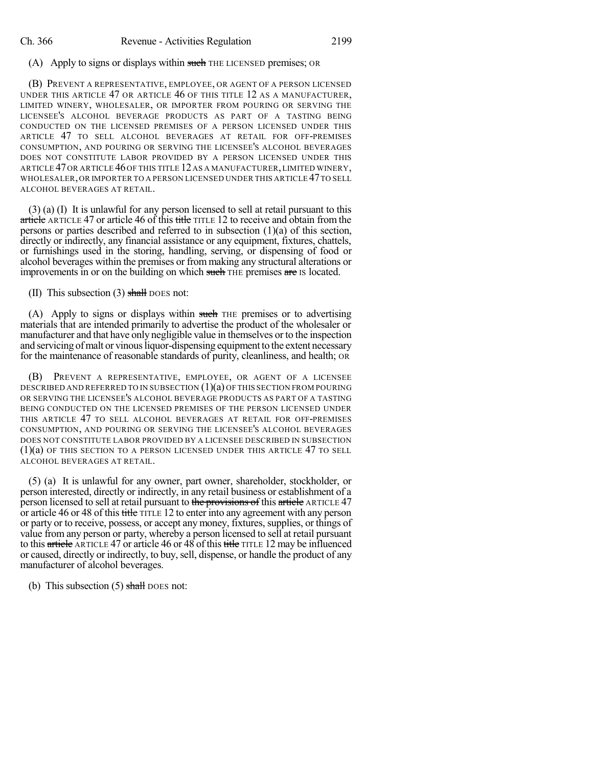## (A) Apply to signs or displays within such THE LICENSED premises; OR

(B) PREVENT A REPRESENTATIVE, EMPLOYEE, OR AGENT OF A PERSON LICENSED UNDER THIS ARTICLE 47 OR ARTICLE 46 OF THIS TITLE 12 AS A MANUFACTURER, LIMITED WINERY, WHOLESALER, OR IMPORTER FROM POURING OR SERVING THE LICENSEE'S ALCOHOL BEVERAGE PRODUCTS AS PART OF A TASTING BEING CONDUCTED ON THE LICENSED PREMISES OF A PERSON LICENSED UNDER THIS ARTICLE 47 TO SELL ALCOHOL BEVERAGES AT RETAIL FOR OFF-PREMISES CONSUMPTION, AND POURING OR SERVING THE LICENSEE'S ALCOHOL BEVERAGES DOES NOT CONSTITUTE LABOR PROVIDED BY A PERSON LICENSED UNDER THIS ARTICLE 47OR ARTICLE 46OF THIS TITLE 12AS A MANUFACTURER,LIMITED WINERY, WHOLESALER,OR IMPORTER TO A PERSON LICENSED UNDER THIS ARTICLE 47TO SELL ALCOHOL BEVERAGES AT RETAIL.

(3) (a) (I) It is unlawful for any person licensed to sell at retail pursuant to this article ARTICLE 47 or article 46 of this title TITLE 12 to receive and obtain from the persons or parties described and referred to in subsection (1)(a) of this section, directly or indirectly, any financial assistance or any equipment, fixtures, chattels, or furnishings used in the storing, handling, serving, or dispensing of food or alcohol beverages within the premises or from making any structural alterations or improvements in or on the building on which such THE premises are IS located.

### (II) This subsection  $(3)$  shall DOES not:

(A) Apply to signs or displays within such THE premises or to advertising materials that are intended primarily to advertise the product of the wholesaler or manufacturer and that have only negligible value in themselves or to the inspection and servicing of malt or vinous liquor-dispensing equipment to the extent necessary for the maintenance of reasonable standards of purity, cleanliness, and health; OR

(B) PREVENT A REPRESENTATIVE, EMPLOYEE, OR AGENT OF A LICENSEE DESCRIBED AND REFERRED TO IN SUBSECTION  $(1)(a)$  OF THIS SECTION FROM POURING OR SERVING THE LICENSEE'S ALCOHOL BEVERAGE PRODUCTS AS PART OF A TASTING BEING CONDUCTED ON THE LICENSED PREMISES OF THE PERSON LICENSED UNDER THIS ARTICLE 47 TO SELL ALCOHOL BEVERAGES AT RETAIL FOR OFF-PREMISES CONSUMPTION, AND POURING OR SERVING THE LICENSEE'S ALCOHOL BEVERAGES DOES NOT CONSTITUTE LABOR PROVIDED BY A LICENSEE DESCRIBED IN SUBSECTION (1)(a) OF THIS SECTION TO A PERSON LICENSED UNDER THIS ARTICLE 47 TO SELL ALCOHOL BEVERAGES AT RETAIL.

(5) (a) It is unlawful for any owner, part owner, shareholder, stockholder, or person interested, directly or indirectly, in any retail business or establishment of a person licensed to sell at retail pursuant to the provisions of this article ARTICLE 47 or article 46 or 48 of this title TITLE 12 to enter into any agreement with any person or party or to receive, possess, or accept any money, fixtures, supplies, or things of value from any person or party, whereby a person licensed to sell at retail pursuant to this article ARTICLE 47 or article 46 or 48 of this title TITLE 12 may be influenced or caused, directly or indirectly, to buy,sell, dispense, or handle the product of any manufacturer of alcohol beverages.

(b) This subsection  $(5)$  shall DOES not: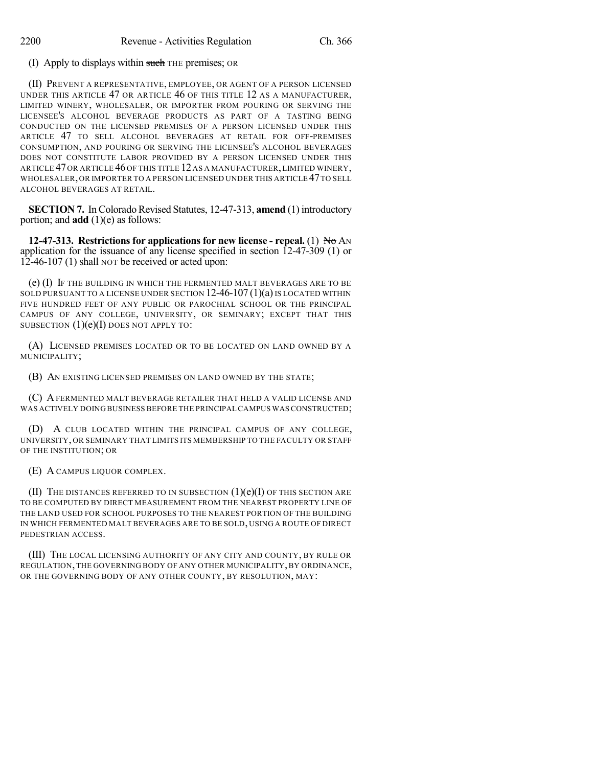(I) Apply to displays within such THE premises; OR

(II) PREVENT A REPRESENTATIVE, EMPLOYEE, OR AGENT OF A PERSON LICENSED UNDER THIS ARTICLE 47 OR ARTICLE 46 OF THIS TITLE 12 AS A MANUFACTURER, LIMITED WINERY, WHOLESALER, OR IMPORTER FROM POURING OR SERVING THE LICENSEE'S ALCOHOL BEVERAGE PRODUCTS AS PART OF A TASTING BEING CONDUCTED ON THE LICENSED PREMISES OF A PERSON LICENSED UNDER THIS ARTICLE 47 TO SELL ALCOHOL BEVERAGES AT RETAIL FOR OFF-PREMISES CONSUMPTION, AND POURING OR SERVING THE LICENSEE'S ALCOHOL BEVERAGES DOES NOT CONSTITUTE LABOR PROVIDED BY A PERSON LICENSED UNDER THIS ARTICLE 47OR ARTICLE 46OF THIS TITLE 12AS A MANUFACTURER,LIMITED WINERY, WHOLESALER,OR IMPORTER TO A PERSON LICENSED UNDER THIS ARTICLE 47TO SELL ALCOHOL BEVERAGES AT RETAIL.

**SECTION 7.** In Colorado Revised Statutes, 12-47-313, **amend** (1) introductory portion; and **add** (1)(e) as follows:

**12-47-313. Restrictions for applications for new license - repeal.** (1) No AN application for the issuance of any license specified in section 12-47-309 (1) or 12-46-107 (1) shall NOT be received or acted upon:

(e) (I) IF THE BUILDING IN WHICH THE FERMENTED MALT BEVERAGES ARE TO BE SOLD PURSUANT TO A LICENSE UNDER SECTION  $12-46-107(1)(a)$  IS LOCATED WITHIN FIVE HUNDRED FEET OF ANY PUBLIC OR PAROCHIAL SCHOOL OR THE PRINCIPAL CAMPUS OF ANY COLLEGE, UNIVERSITY, OR SEMINARY; EXCEPT THAT THIS SUBSECTION  $(1)(e)(I)$  DOES NOT APPLY TO:

(A) LICENSED PREMISES LOCATED OR TO BE LOCATED ON LAND OWNED BY A MUNICIPALITY;

(B) AN EXISTING LICENSED PREMISES ON LAND OWNED BY THE STATE;

(C) AFERMENTED MALT BEVERAGE RETAILER THAT HELD A VALID LICENSE AND WAS ACTIVELY DOING BUSINESS BEFORE THE PRINCIPAL CAMPUS WASCONSTRUCTED;

(D) A CLUB LOCATED WITHIN THE PRINCIPAL CAMPUS OF ANY COLLEGE, UNIVERSITY, OR SEMINARY THAT LIMITS ITS MEMBERSHIP TO THE FACULTY OR STAFF OF THE INSTITUTION; OR

(E) A CAMPUS LIQUOR COMPLEX.

(II) THE DISTANCES REFERRED TO IN SUBSECTION  $(1)(e)(I)$  OF THIS SECTION ARE TO BE COMPUTED BY DIRECT MEASUREMENT FROM THE NEAREST PROPERTY LINE OF THE LAND USED FOR SCHOOL PURPOSES TO THE NEAREST PORTION OF THE BUILDING IN WHICH FERMENTED MALT BEVERAGES ARE TO BE SOLD, USING A ROUTE OF DIRECT PEDESTRIAN ACCESS.

(III) THE LOCAL LICENSING AUTHORITY OF ANY CITY AND COUNTY, BY RULE OR REGULATION, THE GOVERNING BODY OF ANY OTHER MUNICIPALITY, BY ORDINANCE, OR THE GOVERNING BODY OF ANY OTHER COUNTY, BY RESOLUTION, MAY: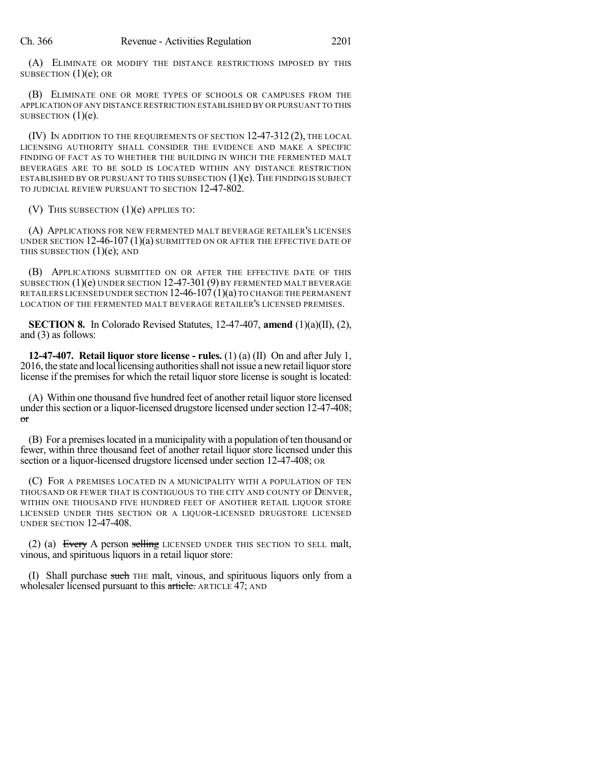(A) ELIMINATE OR MODIFY THE DISTANCE RESTRICTIONS IMPOSED BY THIS SUBSECTION  $(1)(e)$ ; OR

(B) ELIMINATE ONE OR MORE TYPES OF SCHOOLS OR CAMPUSES FROM THE APPLICATION OFANY DISTANCE RESTRICTION ESTABLISHED BY OR PURSUANT TO THIS SUBSECTION  $(1)(e)$ .

(IV) IN ADDITION TO THE REQUIREMENTS OF SECTION 12-47-312 (2), THE LOCAL LICENSING AUTHORITY SHALL CONSIDER THE EVIDENCE AND MAKE A SPECIFIC FINDING OF FACT AS TO WHETHER THE BUILDING IN WHICH THE FERMENTED MALT BEVERAGES ARE TO BE SOLD IS LOCATED WITHIN ANY DISTANCE RESTRICTION ESTABLISHED BY OR PURSUANT TO THIS SUBSECTION  $(1)(e)$ . The finding is subject TO JUDICIAL REVIEW PURSUANT TO SECTION 12-47-802.

(V) THIS SUBSECTION  $(1)(e)$  APPLIES TO:

(A) APPLICATIONS FOR NEW FERMENTED MALT BEVERAGE RETAILER'S LICENSES UNDER SECTION  $12-46-107(1)(a)$  submitted on or after the effective date of THIS SUBSECTION  $(1)(e)$ ; AND

(B) APPLICATIONS SUBMITTED ON OR AFTER THE EFFECTIVE DATE OF THIS SUBSECTION (1)(e) UNDER SECTION 12-47-301 (9) BY FERMENTED MALT BEVERAGE RETAILERS LICENSED UNDER SECTION  $12-46-107(1)(a)$  to change the permanent LOCATION OF THE FERMENTED MALT BEVERAGE RETAILER'S LICENSED PREMISES.

**SECTION 8.** In Colorado Revised Statutes, 12-47-407, **amend** (1)(a)(II), (2), and (3) as follows:

**12-47-407. Retail liquor store license - rules.** (1) (a) (II) On and after July 1, 2016, the state and local licensing authorities shall not issue a new retail liquor store license if the premises for which the retail liquor store license is sought is located:

(A) Within one thousand five hundred feet of another retail liquor store licensed under this section or a liquor-licensed drugstore licensed under section 12-47-408; or

(B) For a premiseslocated in a municipality with a population often thousand or fewer, within three thousand feet of another retail liquor store licensed under this section or a liquor-licensed drugstore licensed under section 12-47-408; OR

(C) FOR A PREMISES LOCATED IN A MUNICIPALITY WITH A POPULATION OF TEN THOUSAND OR FEWER THAT IS CONTIGUOUS TO THE CITY AND COUNTY OF DENVER, WITHIN ONE THOUSAND FIVE HUNDRED FEET OF ANOTHER RETAIL LIQUOR STORE LICENSED UNDER THIS SECTION OR A LIQUOR-LICENSED DRUGSTORE LICENSED UNDER SECTION 12-47-408.

(2) (a) Every A person selling LICENSED UNDER THIS SECTION TO SELL malt, vinous, and spirituous liquors in a retail liquor store:

(I) Shall purchase such THE malt, vinous, and spirituous liquors only from a wholesaler licensed pursuant to this article. ARTICLE 47; AND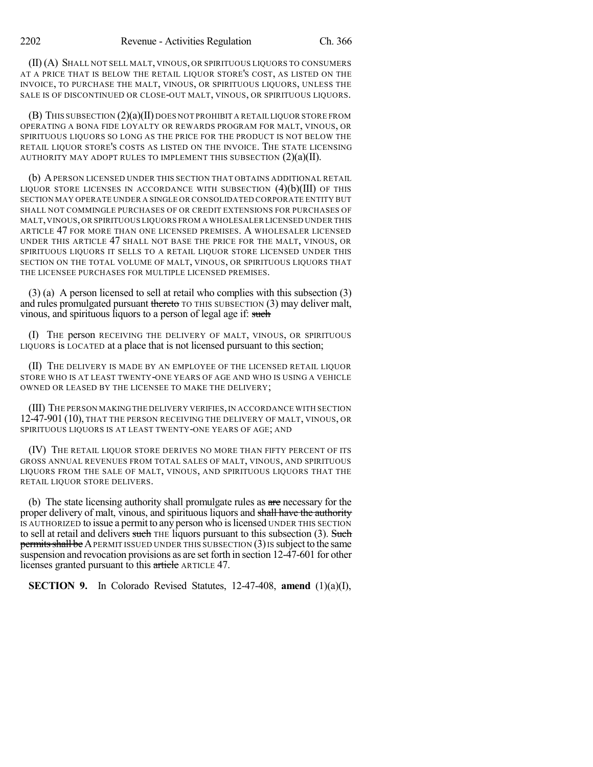(II) (A) SHALL NOT SELL MALT, VINOUS, OR SPIRITUOUS LIQUORS TO CONSUMERS AT A PRICE THAT IS BELOW THE RETAIL LIQUOR STORE'S COST, AS LISTED ON THE INVOICE, TO PURCHASE THE MALT, VINOUS, OR SPIRITUOUS LIQUORS, UNLESS THE SALE IS OF DISCONTINUED OR CLOSE-OUT MALT, VINOUS, OR SPIRITUOUS LIQUORS.

 $(B)$  This subsection  $(2)(a)$ (II) does not prohibit a retail liquor store from OPERATING A BONA FIDE LOYALTY OR REWARDS PROGRAM FOR MALT, VINOUS, OR SPIRITUOUS LIQUORS SO LONG AS THE PRICE FOR THE PRODUCT IS NOT BELOW THE RETAIL LIQUOR STORE'S COSTS AS LISTED ON THE INVOICE. THE STATE LICENSING AUTHORITY MAY ADOPT RULES TO IMPLEMENT THIS SUBSECTION  $(2)(a)(II)$ .

(b) APERSON LICENSED UNDER THIS SECTION THAT OBTAINS ADDITIONAL RETAIL LIQUOR STORE LICENSES IN ACCORDANCE WITH SUBSECTION  $(4)(b)(III)$  of this SECTION MAY OPERATE UNDER A SINGLE OR CONSOLIDATED CORPORATE ENTITY BUT SHALL NOT COMMINGLE PURCHASES OF OR CREDIT EXTENSIONS FOR PURCHASES OF MALT,VINOUS,OR SPIRITUOUS LIQUORS FROM A WHOLESALER LICENSED UNDER THIS ARTICLE 47 FOR MORE THAN ONE LICENSED PREMISES. A WHOLESALER LICENSED UNDER THIS ARTICLE 47 SHALL NOT BASE THE PRICE FOR THE MALT, VINOUS, OR SPIRITUOUS LIQUORS IT SELLS TO A RETAIL LIQUOR STORE LICENSED UNDER THIS SECTION ON THE TOTAL VOLUME OF MALT, VINOUS, OR SPIRITUOUS LIQUORS THAT THE LICENSEE PURCHASES FOR MULTIPLE LICENSED PREMISES.

(3) (a) A person licensed to sell at retail who complies with this subsection (3) and rules promulgated pursuant thereto TO THIS SUBSECTION (3) may deliver malt, vinous, and spirituous liquors to a person of legal age if: such

(I) THE person RECEIVING THE DELIVERY OF MALT, VINOUS, OR SPIRITUOUS LIQUORS is LOCATED at a place that is not licensed pursuant to this section;

(II) THE DELIVERY IS MADE BY AN EMPLOYEE OF THE LICENSED RETAIL LIQUOR STORE WHO IS AT LEAST TWENTY-ONE YEARS OF AGE AND WHO IS USING A VEHICLE OWNED OR LEASED BY THE LICENSEE TO MAKE THE DELIVERY;

(III) THE PERSON MAKINGTHE DELIVERY VERIFIES,IN ACCORDANCE WITH SECTION 12-47-901 (10), THAT THE PERSON RECEIVING THE DELIVERY OF MALT, VINOUS, OR SPIRITUOUS LIQUORS IS AT LEAST TWENTY-ONE YEARS OF AGE; AND

(IV) THE RETAIL LIQUOR STORE DERIVES NO MORE THAN FIFTY PERCENT OF ITS GROSS ANNUAL REVENUES FROM TOTAL SALES OF MALT, VINOUS, AND SPIRITUOUS LIQUORS FROM THE SALE OF MALT, VINOUS, AND SPIRITUOUS LIQUORS THAT THE RETAIL LIQUOR STORE DELIVERS.

(b) The state licensing authority shall promulgate rules as  $\alpha r$  necessary for the proper delivery of malt, vinous, and spirituous liquors and shall have the authority IS AUTHORIZED to issue a permit to any person who islicensed UNDER THIS SECTION to sell at retail and delivers such THE liquors pursuant to this subsection (3). Such permits shall be A PERMIT ISSUED UNDER THIS SUBSECTION  $(3)$  IS subject to the same suspension and revocation provisions as are set forth in section 12-47-601 for other licenses granted pursuant to this article ARTICLE 47.

**SECTION 9.** In Colorado Revised Statutes, 12-47-408, **amend** (1)(a)(I),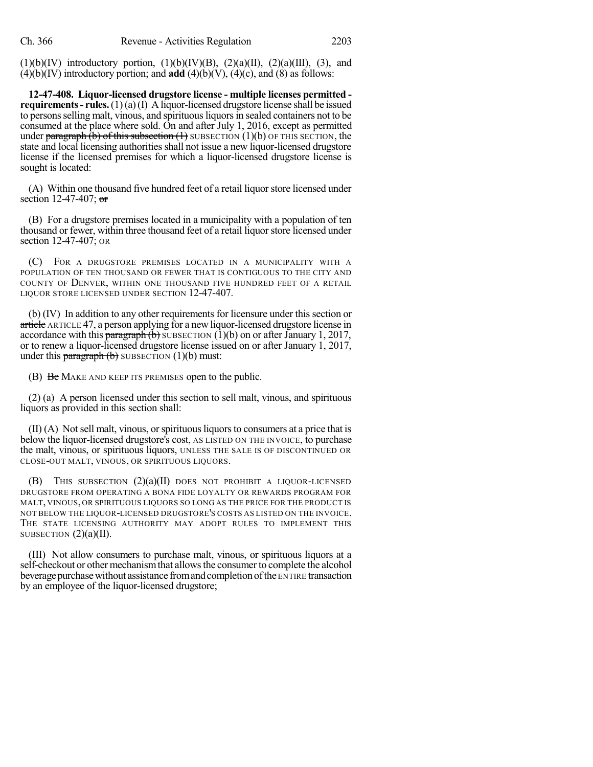$(1)(b)(IV)$  introductory portion,  $(1)(b)(IV)(B)$ ,  $(2)(a)(II)$ ,  $(2)(a)(III)$ ,  $(3)$ , and  $(4)(b)(IV)$  introductory portion; and **add**  $(4)(b)(V)$ ,  $(4)(c)$ , and  $(8)$  as follows:

**12-47-408. Liquor-licensed drugstore license - multiple licenses permitted requirements- rules.**(1)(a)(I) A liquor-licensed drugstore license shall be issued to persons selling malt, vinous, and spirituous liquors in sealed containers not to be consumed at the place where sold. On and after July 1, 2016, except as permitted under paragraph  $(b)$  of this subsection  $(1)$  SUBSECTION  $(1)(b)$  OF THIS SECTION, the state and local licensing authorities shall not issue a new liquor-licensed drugstore license if the licensed premises for which a liquor-licensed drugstore license is sought is located:

(A) Within one thousand five hundred feet of a retail liquorstore licensed under section 12-47-407;  $\sigma$ 

(B) For a drugstore premises located in a municipality with a population of ten thousand or fewer, within three thousand feet of a retail liquor store licensed under section 12-47-407; OR

(C) FOR A DRUGSTORE PREMISES LOCATED IN A MUNICIPALITY WITH A POPULATION OF TEN THOUSAND OR FEWER THAT IS CONTIGUOUS TO THE CITY AND COUNTY OF DENVER, WITHIN ONE THOUSAND FIVE HUNDRED FEET OF A RETAIL LIQUOR STORE LICENSED UNDER SECTION 12-47-407.

(b) (IV) In addition to any other requirements for licensure under this section or article ARTICLE 47, a person applying for a newliquor-licensed drugstore license in accordance with this **paragraph** (b) SUBSECTION (1)(b) on or after January 1, 2017, or to renew a liquor-licensed drugstore license issued on or after January 1, 2017, under this  $\frac{\text{parameter}}{\text{bargeraph}}$  (b) SUBSECTION (1)(b) must:

(B) Be MAKE AND KEEP ITS PREMISES open to the public.

(2) (a) A person licensed under this section to sell malt, vinous, and spirituous liquors as provided in this section shall:

 $(II)$  (A) Not sell malt, vinous, or spirituous liquors to consumers at a price that is below the liquor-licensed drugstore's cost, AS LISTED ON THE INVOICE, to purchase the malt, vinous, or spirituous liquors, UNLESS THE SALE IS OF DISCONTINUED OR CLOSE-OUT MALT, VINOUS, OR SPIRITUOUS LIQUORS.

(B) THIS SUBSECTION (2)(a)(II) DOES NOT PROHIBIT A LIQUOR-LICENSED DRUGSTORE FROM OPERATING A BONA FIDE LOYALTY OR REWARDS PROGRAM FOR MALT, VINOUS, OR SPIRITUOUS LIQUORS SO LONG AS THE PRICE FOR THE PRODUCT IS NOT BELOW THE LIQUOR-LICENSED DRUGSTORE'S COSTS AS LISTED ON THE INVOICE. THE STATE LICENSING AUTHORITY MAY ADOPT RULES TO IMPLEMENT THIS SUBSECTION  $(2)(a)(II)$ .

(III) Not allow consumers to purchase malt, vinous, or spirituous liquors at a self-checkout or other mechanism that allows the consumer to complete the alcohol beverage purchase without assistance from and completion of the ENTIRE transaction by an employee of the liquor-licensed drugstore;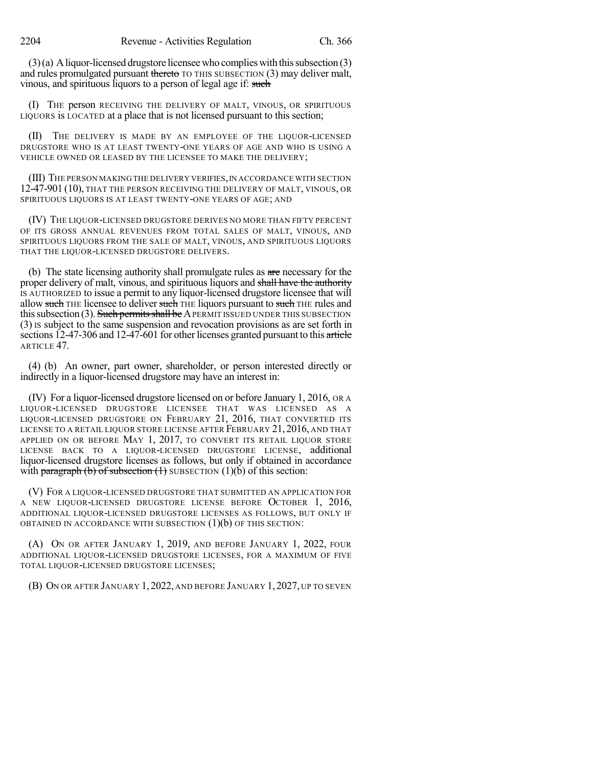$(3)(a)$  A liquor-licensed drugstore licensee who complies with this subsection  $(3)$ and rules promulgated pursuant thereto TO THIS SUBSECTION (3) may deliver malt, vinous, and spirituous liquors to a person of legal age if: such

(I) THE person RECEIVING THE DELIVERY OF MALT, VINOUS, OR SPIRITUOUS LIQUORS is LOCATED at a place that is not licensed pursuant to this section;

(II) THE DELIVERY IS MADE BY AN EMPLOYEE OF THE LIQUOR-LICENSED DRUGSTORE WHO IS AT LEAST TWENTY-ONE YEARS OF AGE AND WHO IS USING A VEHICLE OWNED OR LEASED BY THE LICENSEE TO MAKE THE DELIVERY;

(III) THE PERSON MAKING THE DELIVERY VERIFIES,IN ACCORDANCE WITH SECTION 12-47-901 (10), THAT THE PERSON RECEIVING THE DELIVERY OF MALT, VINOUS, OR SPIRITUOUS LIQUORS IS AT LEAST TWENTY-ONE YEARS OF AGE; AND

(IV) THE LIQUOR-LICENSED DRUGSTORE DERIVES NO MORE THAN FIFTY PERCENT OF ITS GROSS ANNUAL REVENUES FROM TOTAL SALES OF MALT, VINOUS, AND SPIRITUOUS LIQUORS FROM THE SALE OF MALT, VINOUS, AND SPIRITUOUS LIQUORS THAT THE LIQUOR-LICENSED DRUGSTORE DELIVERS.

(b) The state licensing authority shall promulgate rules as are necessary for the proper delivery of malt, vinous, and spirituous liquors and shall have the authority IS AUTHORIZED to issue a permit to any liquor-licensed drugstore licensee that will allow such THE licensee to deliver such THE liquors pursuant to such THE rules and this subsection  $(3)$ . Such permits shall be A PERMIT ISSUED UNDER THIS SUBSECTION (3) IS subject to the same suspension and revocation provisions as are set forth in sections 12-47-306 and 12-47-601 for other licenses granted pursuant to this article ARTICLE 47.

(4) (b) An owner, part owner, shareholder, or person interested directly or indirectly in a liquor-licensed drugstore may have an interest in:

(IV) For a liquor-licensed drugstore licensed on or before January 1, 2016, OR A LIQUOR-LICENSED DRUGSTORE LICENSEE THAT WAS LICENSED AS A LIQUOR-LICENSED DRUGSTORE ON FEBRUARY 21, 2016, THAT CONVERTED ITS LICENSE TO A RETAIL LIQUOR STORE LICENSE AFTER FEBRUARY 21, 2016, AND THAT APPLIED ON OR BEFORE MAY 1, 2017, TO CONVERT ITS RETAIL LIQUOR STORE LICENSE BACK TO A LIQUOR-LICENSED DRUGSTORE LICENSE, additional liquor-licensed drugstore licenses as follows, but only if obtained in accordance with paragraph (b) of subsection  $(1)$  SUBSECTION  $(1)(b)$  of this section:

(V) FOR A LIQUOR-LICENSED DRUGSTORE THAT SUBMITTED AN APPLICATION FOR A NEW LIQUOR-LICENSED DRUGSTORE LICENSE BEFORE OCTOBER 1, 2016, ADDITIONAL LIQUOR-LICENSED DRUGSTORE LICENSES AS FOLLOWS, BUT ONLY IF OBTAINED IN ACCORDANCE WITH SUBSECTION  $(1)(b)$  OF THIS SECTION:

(A) ON OR AFTER JANUARY 1, 2019, AND BEFORE JANUARY 1, 2022, FOUR ADDITIONAL LIQUOR-LICENSED DRUGSTORE LICENSES, FOR A MAXIMUM OF FIVE TOTAL LIQUOR-LICENSED DRUGSTORE LICENSES;

(B) ON OR AFTER JANUARY 1, 2022, AND BEFORE JANUARY 1, 2027, UP TO SEVEN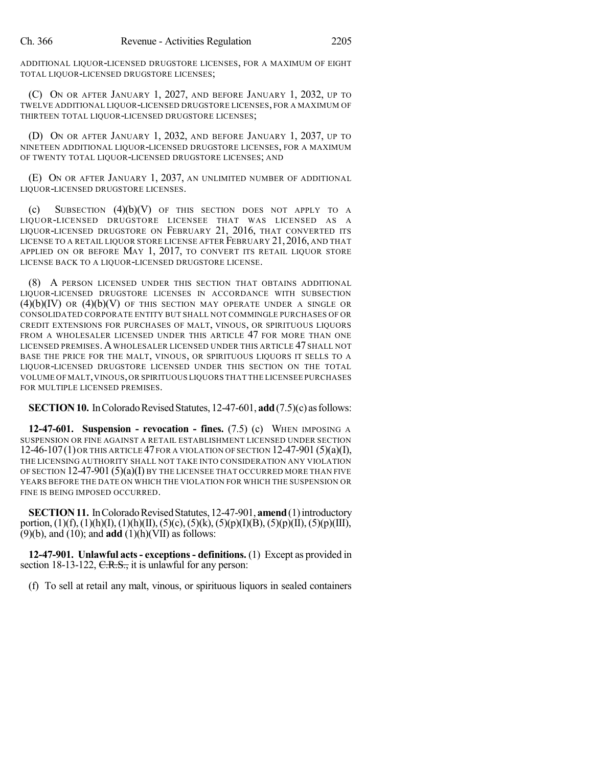ADDITIONAL LIQUOR-LICENSED DRUGSTORE LICENSES, FOR A MAXIMUM OF EIGHT TOTAL LIQUOR-LICENSED DRUGSTORE LICENSES;

(C) ON OR AFTER JANUARY 1, 2027, AND BEFORE JANUARY 1, 2032, UP TO TWELVE ADDITIONAL LIQUOR-LICENSED DRUGSTORE LICENSES, FOR A MAXIMUM OF THIRTEEN TOTAL LIQUOR-LICENSED DRUGSTORE LICENSES;

(D) ON OR AFTER JANUARY 1, 2032, AND BEFORE JANUARY 1, 2037, UP TO NINETEEN ADDITIONAL LIQUOR-LICENSED DRUGSTORE LICENSES, FOR A MAXIMUM OF TWENTY TOTAL LIQUOR-LICENSED DRUGSTORE LICENSES; AND

(E) ON OR AFTER JANUARY 1, 2037, AN UNLIMITED NUMBER OF ADDITIONAL LIQUOR-LICENSED DRUGSTORE LICENSES.

(c) SUBSECTION (4)(b)(V) OF THIS SECTION DOES NOT APPLY TO A LIQUOR-LICENSED DRUGSTORE LICENSEE THAT WAS LICENSED AS A LIQUOR-LICENSED DRUGSTORE ON FEBRUARY 21, 2016, THAT CONVERTED ITS LICENSE TO A RETAIL LIQUOR STORE LICENSE AFTER FEBRUARY 21, 2016, AND THAT APPLIED ON OR BEFORE MAY 1, 2017, TO CONVERT ITS RETAIL LIQUOR STORE LICENSE BACK TO A LIQUOR-LICENSED DRUGSTORE LICENSE.

(8) A PERSON LICENSED UNDER THIS SECTION THAT OBTAINS ADDITIONAL LIQUOR-LICENSED DRUGSTORE LICENSES IN ACCORDANCE WITH SUBSECTION  $(4)(b)(IV)$  OR  $(4)(b)(V)$  OF THIS SECTION MAY OPERATE UNDER A SINGLE OR CONSOLIDATED CORPORATE ENTITY BUT SHALL NOT COMMINGLE PURCHASES OF OR CREDIT EXTENSIONS FOR PURCHASES OF MALT, VINOUS, OR SPIRITUOUS LIQUORS FROM A WHOLESALER LICENSED UNDER THIS ARTICLE 47 FOR MORE THAN ONE LICENSED PREMISES.A WHOLESALER LICENSED UNDER THIS ARTICLE 47 SHALL NOT BASE THE PRICE FOR THE MALT, VINOUS, OR SPIRITUOUS LIQUORS IT SELLS TO A LIQUOR-LICENSED DRUGSTORE LICENSED UNDER THIS SECTION ON THE TOTAL VOLUME OF MALT,VINOUS,OR SPIRITUOUS LIQUORS THAT THE LICENSEE PURCHASES FOR MULTIPLE LICENSED PREMISES.

**SECTION 10.** In Colorado Revised Statutes, 12-47-601, **add** (7.5)(c) as follows:

**12-47-601. Suspension - revocation - fines.** (7.5) (c) WHEN IMPOSING A SUSPENSION OR FINE AGAINST A RETAIL ESTABLISHMENT LICENSED UNDER SECTION  $12-46-107(1)$  OR THIS ARTICLE 47 FOR A VIOLATION OF SECTION  $12-47-901(5)(a)(1)$ , THE LICENSING AUTHORITY SHALL NOT TAKE INTO CONSIDERATION ANY VIOLATION OF SECTION  $12-47-901(5)(a)(I)$  BY THE LICENSEE THAT OCCURRED MORE THAN FIVE YEARS BEFORE THE DATE ON WHICH THE VIOLATION FOR WHICH THE SUSPENSION OR FINE IS BEING IMPOSED OCCURRED.

**SECTION 11.** In Colorado Revised Statutes, 12-47-901, **amend** (1) introductory portion, (1)(f),(1)(h)(I),(1)(h)(II), (5)(c), (5)(k), (5)(p)(I)(B), (5)(p)(II), (5)(p)(III), (9)(b), and (10); and **add** (1)(h)(VII) as follows:

**12-47-901. Unlawful acts- exceptions- definitions.** (1) Except as provided in section 18-13-122,  $C.R.S.,$  it is unlawful for any person:

(f) To sell at retail any malt, vinous, or spirituous liquors in sealed containers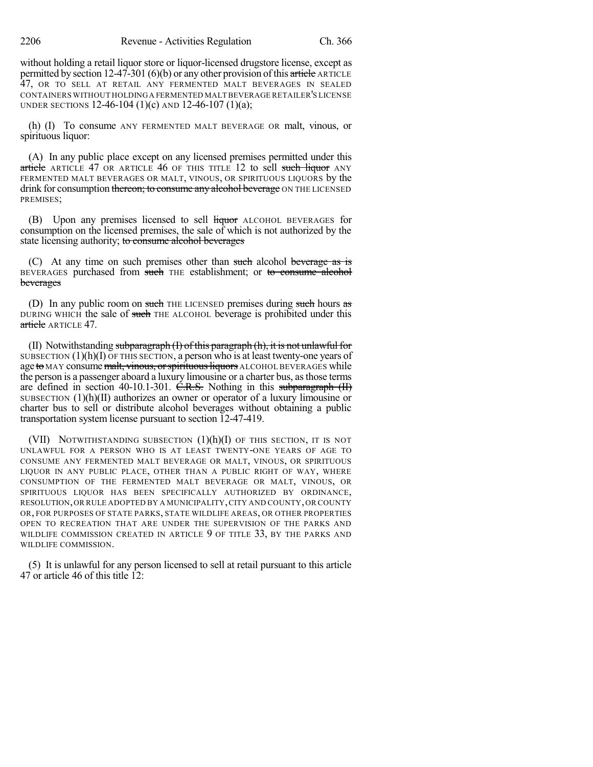without holding a retail liquor store or liquor-licensed drugstore license, except as permitted by section 12-47-301 (6)(b) or any other provision of this article ARTICLE 47, OR TO SELL AT RETAIL ANY FERMENTED MALT BEVERAGES IN SEALED CONTAINERS WITHOUT HOLDINGA FERMENTED MALT BEVERAGE RETAILER'S LICENSE UNDER SECTIONS 12-46-104 (1)(c) AND 12-46-107 (1)(a);

(h) (I) To consume ANY FERMENTED MALT BEVERAGE OR malt, vinous, or spirituous liquor:

(A) In any public place except on any licensed premises permitted under this article ARTICLE 47 OR ARTICLE 46 OF THIS TITLE 12 to sell such liquor ANY FERMENTED MALT BEVERAGES OR MALT, VINOUS, OR SPIRITUOUS LIQUORS by the drink for consumption thereon; to consume any alcohol beverage ON THE LICENSED PREMISES;

(B) Upon any premises licensed to sell liquor ALCOHOL BEVERAGES for consumption on the licensed premises, the sale of which is not authorized by the state licensing authority; to consume alcohol beverages

(C) At any time on such premises other than such alcohol beverage as is BEVERAGES purchased from such THE establishment; or to consume alcohol beverages

(D) In any public room on such THE LICENSED premises during such hours as DURING WHICH the sale of such THE ALCOHOL beverage is prohibited under this article ARTICLE 47.

(II) Notwithstanding subparagraph (I) of this paragraph (h), it is not unlawful for SUBSECTION  $(1)(h)(I)$  OF THIS SECTION, a person who is at least twenty-one years of age to MAY consume malt, vinous, or spirituous liquors ALCOHOL BEVERAGES while the person is a passenger aboard a luxury limousine or a charter bus, asthose terms are defined in section 40-10.1-301. C.R.S. Nothing in this subparagraph  $(H)$ SUBSECTION  $(1)(h)(II)$  authorizes an owner or operator of a luxury limousine or charter bus to sell or distribute alcohol beverages without obtaining a public transportation system license pursuant to section 12-47-419.

(VII) NOTWITHSTANDING SUBSECTION  $(1)(h)(I)$  of this section, it is not UNLAWFUL FOR A PERSON WHO IS AT LEAST TWENTY-ONE YEARS OF AGE TO CONSUME ANY FERMENTED MALT BEVERAGE OR MALT, VINOUS, OR SPIRITUOUS LIQUOR IN ANY PUBLIC PLACE, OTHER THAN A PUBLIC RIGHT OF WAY, WHERE CONSUMPTION OF THE FERMENTED MALT BEVERAGE OR MALT, VINOUS, OR SPIRITUOUS LIQUOR HAS BEEN SPECIFICALLY AUTHORIZED BY ORDINANCE, RESOLUTION,OR RULE ADOPTED BY A MUNICIPALITY,CITY AND COUNTY,OR COUNTY OR, FOR PURPOSES OF STATE PARKS, STATE WILDLIFE AREAS, OR OTHER PROPERTIES OPEN TO RECREATION THAT ARE UNDER THE SUPERVISION OF THE PARKS AND WILDLIFE COMMISSION CREATED IN ARTICLE 9 OF TITLE 33, BY THE PARKS AND WILDLIFE COMMISSION.

(5) It is unlawful for any person licensed to sell at retail pursuant to this article 47 or article 46 of this title 12: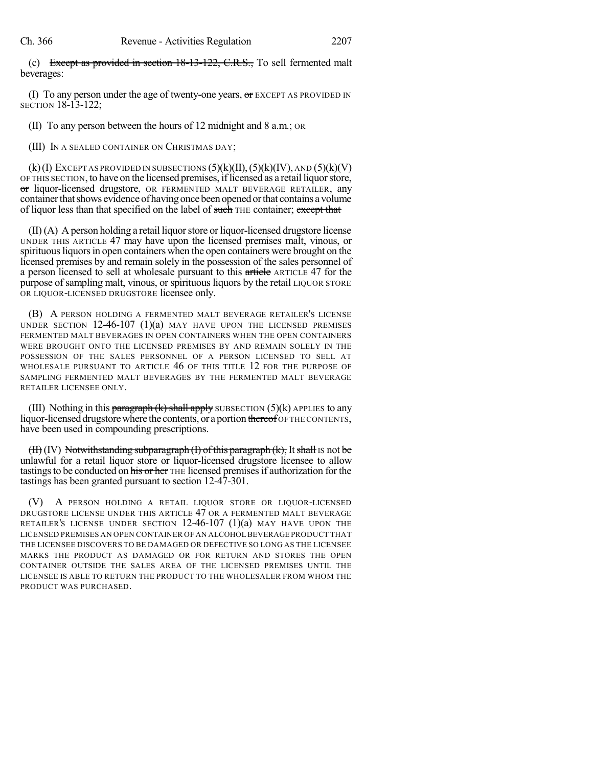(c) Except as provided in section 18-13-122, C.R.S., To sell fermented malt beverages:

(I) To any person under the age of twenty-one years,  $\sigma$  EXCEPT AS PROVIDED IN SECTION 18-13-122;

(II) To any person between the hours of 12 midnight and 8 a.m.; OR

(III) IN A SEALED CONTAINER ON CHRISTMAS DAY;

 $(k)$ (I) EXCEPT AS PROVIDED IN SUBSECTIONS  $(5)$ (k)(II), $(5)$ (k)(IV), AND  $(5)$ (k)(V) OF THIS SECTION, to have on the licensed premises, iflicensed as a retail liquorstore, or liquor-licensed drugstore, OR FERMENTED MALT BEVERAGE RETAILER, any container that shows evidence of having once been opened or that contains a volume of liquor less than that specified on the label of such THE container; except that

 $(II)(A)$  A person holding a retail liquor store or liquor-licensed drugstore license UNDER THIS ARTICLE 47 may have upon the licensed premises malt, vinous, or spirituous liquors in open containers when the open containers were brought on the licensed premises by and remain solely in the possession of the sales personnel of a person licensed to sell at wholesale pursuant to this article ARTICLE 47 for the purpose of sampling malt, vinous, or spirituous liquors by the retail LIQUOR STORE OR LIQUOR-LICENSED DRUGSTORE licensee only.

(B) A PERSON HOLDING A FERMENTED MALT BEVERAGE RETAILER'S LICENSE UNDER SECTION  $12-46-107$   $(1)(a)$  may have upon the licensed premises FERMENTED MALT BEVERAGES IN OPEN CONTAINERS WHEN THE OPEN CONTAINERS WERE BROUGHT ONTO THE LICENSED PREMISES BY AND REMAIN SOLELY IN THE POSSESSION OF THE SALES PERSONNEL OF A PERSON LICENSED TO SELL AT WHOLESALE PURSUANT TO ARTICLE 46 OF THIS TITLE 12 FOR THE PURPOSE OF SAMPLING FERMENTED MALT BEVERAGES BY THE FERMENTED MALT BEVERAGE RETAILER LICENSEE ONLY.

(III) Nothing in this paragraph  $(k)$  shall apply SUBSECTION (5)(k) APPLIES to any liquor-licensed drugstore where the contents, or a portion thereof OF THE CONTENTS, have been used in compounding prescriptions.

 $(H)$ (IV) Notwithstanding subparagraph (I) of this paragraph (k), It shall IS not be unlawful for a retail liquor store or liquor-licensed drugstore licensee to allow tastings to be conducted on his or her THE licensed premises if authorization for the tastings has been granted pursuant to section 12-47-301.

(V) A PERSON HOLDING A RETAIL LIQUOR STORE OR LIQUOR-LICENSED DRUGSTORE LICENSE UNDER THIS ARTICLE 47 OR A FERMENTED MALT BEVERAGE RETAILER'S LICENSE UNDER SECTION 12-46-107 (1)(a) MAY HAVE UPON THE LICENSED PREMISES AN OPEN CONTAINER OF AN ALCOHOL BEVERAGE PRODUCT THAT THE LICENSEE DISCOVERS TO BE DAMAGED OR DEFECTIVE SO LONG AS THE LICENSEE MARKS THE PRODUCT AS DAMAGED OR FOR RETURN AND STORES THE OPEN CONTAINER OUTSIDE THE SALES AREA OF THE LICENSED PREMISES UNTIL THE LICENSEE IS ABLE TO RETURN THE PRODUCT TO THE WHOLESALER FROM WHOM THE PRODUCT WAS PURCHASED.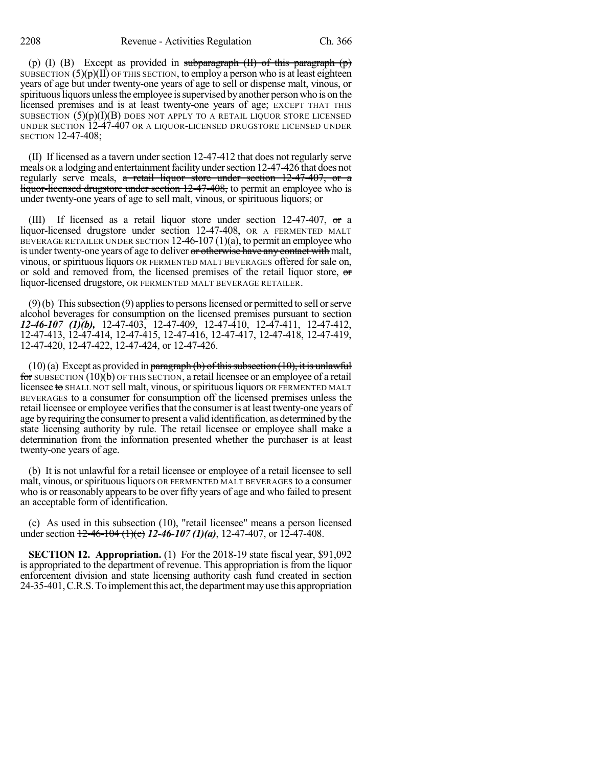(p) (I) (B) Except as provided in subparagraph  $(H)$  of this paragraph  $(p)$ SUBSECTION  $(5)(p)(II)$  OF THIS SECTION, to employ a person who is at least eighteen years of age but under twenty-one years of age to sell or dispense malt, vinous, or spirituous liquors unless the employee is supervised by another person who is on the licensed premises and is at least twenty-one years of age; EXCEPT THAT THIS SUBSECTION  $(5)(p)(I)(B)$  DOES NOT APPLY TO A RETAIL LIQUOR STORE LICENSED UNDER SECTION 12-47-407 OR A LIQUOR-LICENSED DRUGSTORE LICENSED UNDER SECTION 12-47-408;

(II) If licensed as a tavern under section 12-47-412 that does not regularly serve meals OR a lodging and entertainment facility under section 12-47-426 that does not regularly serve meals,  $\alpha$  retail liquor store under section 12-47-407, or  $\alpha$ liquor-licensed drugstore under section 12-47-408, to permit an employee who is under twenty-one years of age to sell malt, vinous, or spirituous liquors; or

(III) If licensed as a retail liquor store under section 12-47-407, or a liquor-licensed drugstore under section 12-47-408, OR A FERMENTED MALT BEVERAGE RETAILER UNDER SECTION  $12-46-107(1)(a)$ , to permit an employee who is under twenty-one years of age to deliver or otherwise have any contact with malt, vinous, or spirituous liquors OR FERMENTED MALT BEVERAGES offered for sale on, or sold and removed from, the licensed premises of the retail liquor store, or liquor-licensed drugstore, OR FERMENTED MALT BEVERAGE RETAILER.

 $(9)(b)$  This subsection  $(9)$  applies to persons licensed or permitted to sell or serve alcohol beverages for consumption on the licensed premises pursuant to section *12-46-107 (1)(b),* 12-47-403, 12-47-409, 12-47-410, 12-47-411, 12-47-412, 12-47-413, 12-47-414, 12-47-415, 12-47-416, 12-47-417, 12-47-418, 12-47-419, 12-47-420, 12-47-422, 12-47-424, or 12-47-426.

 $(10)(a)$  Except as provided in paragraph (b) of this subsection (10), it is unlawful for SUBSECTION (10)(b) OF THIS SECTION, a retail licensee or an employee of a retail licensee to SHALL NOT sell malt, vinous, or spirituous liquors OR FERMENTED MALT BEVERAGES to a consumer for consumption off the licensed premises unless the retail licensee or employee verifies that the consumer is at least twenty-one years of age by requiring the consumer to present a valid identification, as determined by the state licensing authority by rule. The retail licensee or employee shall make a determination from the information presented whether the purchaser is at least twenty-one years of age.

(b) It is not unlawful for a retail licensee or employee of a retail licensee to sell malt, vinous, or spirituous liquors OR FERMENTED MALT BEVERAGES to a consumer who is or reasonably appears to be over fifty years of age and who failed to present an acceptable form of identification.

(c) As used in this subsection (10), "retail licensee" means a person licensed under section 12-46-104 (1)(c) *12-46-107 (1)(a)*, 12-47-407, or 12-47-408.

**SECTION 12. Appropriation.** (1) For the 2018-19 state fiscal year, \$91,092 is appropriated to the department of revenue. This appropriation is from the liquor enforcement division and state licensing authority cash fund created in section 24-35-401, C.R.S. To implement this act, the department may use this appropriation